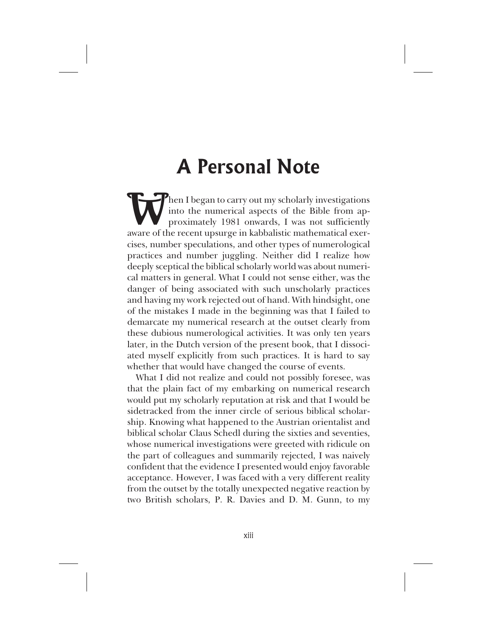## **A Personal Note**

Then I began to carry out my scholarly investigations<br>into the numerical aspects of the Bible from approximately 1981 onwards, I was not sufficiently<br>aware of the recent unsure in kabbalistic mathematical exerinto the numerical aspects of the Bible from approximately 1981 onwards, I was not sufficiently aware of the recent upsurge in kabbalistic mathematical exercises, number speculations, and other types of numerological practices and number juggling. Neither did I realize how deeply sceptical the biblical scholarly world was about numerical matters in general. What I could not sense either, was the danger of being associated with such unscholarly practices and having my work rejected out of hand. With hindsight, one of the mistakes I made in the beginning was that I failed to demarcate my numerical research at the outset clearly from these dubious numerological activities. It was only ten years later, in the Dutch version of the present book, that I dissociated myself explicitly from such practices. It is hard to say whether that would have changed the course of events.

What I did not realize and could not possibly foresee, was that the plain fact of my embarking on numerical research would put my scholarly reputation at risk and that I would be sidetracked from the inner circle of serious biblical scholarship. Knowing what happened to the Austrian orientalist and biblical scholar Claus Schedl during the sixties and seventies, whose numerical investigations were greeted with ridicule on the part of colleagues and summarily rejected, I was naively confident that the evidence I presented would enjoy favorable acceptance. However, I was faced with a very different reality from the outset by the totally unexpected negative reaction by two British scholars, P. R. Davies and D. M. Gunn, to my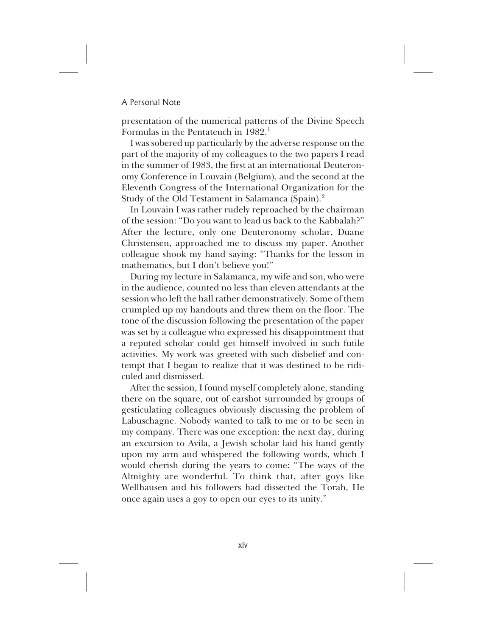## A Personal Note

presentation of the numerical patterns of the Divine Speech Formulas in the Pentateuch in 1982.<sup>1</sup>

I was sobered up particularly by the adverse response on the part of the majority of my colleagues to the two papers I read in the summer of 1983, the first at an international Deuteronomy Conference in Louvain (Belgium), and the second at the Eleventh Congress of the International Organization for the Study of the Old Testament in Salamanca (Spain).<sup>2</sup>

In Louvain I was rather rudely reproached by the chairman of the session: "Do you want to lead us back to the Kabbalah?" After the lecture, only one Deuteronomy scholar, Duane Christensen, approached me to discuss my paper. Another colleague shook my hand saying: "Thanks for the lesson in mathematics, but I don't believe you!"

During my lecture in Salamanca, my wife and son, who were in the audience, counted no less than eleven attendants at the session who left the hall rather demonstratively. Some of them crumpled up my handouts and threw them on the floor. The tone of the discussion following the presentation of the paper was set by a colleague who expressed his disappointment that a reputed scholar could get himself involved in such futile activities. My work was greeted with such disbelief and contempt that I began to realize that it was destined to be ridiculed and dismissed.

After the session, I found myself completely alone, standing there on the square, out of earshot surrounded by groups of gesticulating colleagues obviously discussing the problem of Labuschagne. Nobody wanted to talk to me or to be seen in my company. There was one exception: the next day, during an excursion to Avila, a Jewish scholar laid his hand gently upon my arm and whispered the following words, which I would cherish during the years to come: "The ways of the Almighty are wonderful. To think that, after goys like Wellhausen and his followers had dissected the Torah, He once again uses a goy to open our eyes to its unity."